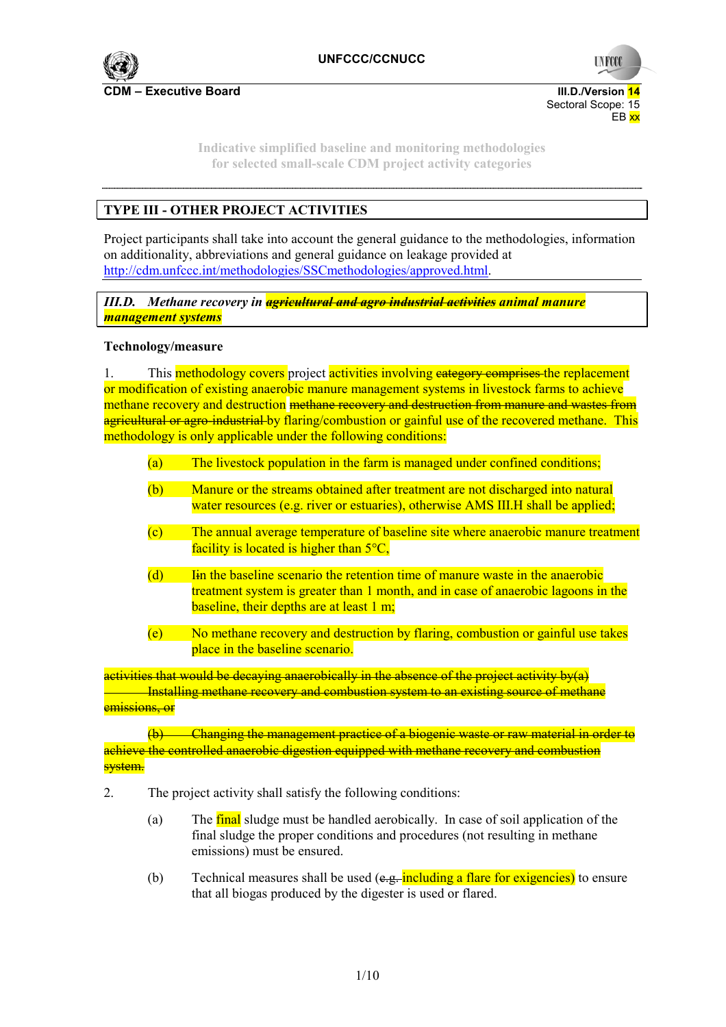

**UNFCC** 

**Indicative simplified baseline and monitoring methodologies for selected small-scale CDM project activity categories** 

en de la provincia de la provincia de la provincia de la provincia de la provincia de la provincia de la provi

# **TYPE III - OTHER PROJECT ACTIVITIES**

Project participants shall take into account the general guidance to the methodologies, information on additionality, abbreviations and general guidance on leakage provided at http://cdm.unfccc.int/methodologies/SSCmethodologies/approved.html.

*III.D. Methane recovery in agricultural and agro industrial activities animal manure management systems* 

#### **Technology/measure**

1. This methodology covers project activities involving eategory comprises the replacement or modification of existing anaerobic manure management systems in livestock farms to achieve methane recovery and destruction methane recovery and destruction from manure and wastes from agricultural or agro-industrial by flaring/combustion or gainful use of the recovered methane. This methodology is only applicable under the following conditions:

- (a) The livestock population in the farm is managed under confined conditions;
- (b) Manure or the streams obtained after treatment are not discharged into natural water resources (e.g. river or estuaries), otherwise AMS III.H shall be applied;
- (c) The annual average temperature of baseline site where anaerobic manure treatment facility is located is higher than  $5^{\circ}C$ ,
- (d) Iin the baseline scenario the retention time of manure waste in the anaerobic treatment system is greater than 1 month, and in case of anaerobic lagoons in the baseline, their depths are at least 1 m;
- (e) No methane recovery and destruction by flaring, combustion or gainful use takes place in the baseline scenario.

activities that would be decaying anaerobically in the absence of the project activity by(a) **Installing methane recovery and combustion system to an existing source of methane** emissions, or

(b) Changing the management practice of a biogenic waste or raw material in order to achieve the controlled anaerobic digestion equipped with methane recovery and combustion <mark>system.</mark>

- 2. The project activity shall satisfy the following conditions:
	- (a) The final sludge must be handled aerobically. In case of soil application of the final sludge the proper conditions and procedures (not resulting in methane emissions) must be ensured.
	- (b) Technical measures shall be used  $(e.g.,$  including a flare for exigencies) to ensure that all biogas produced by the digester is used or flared.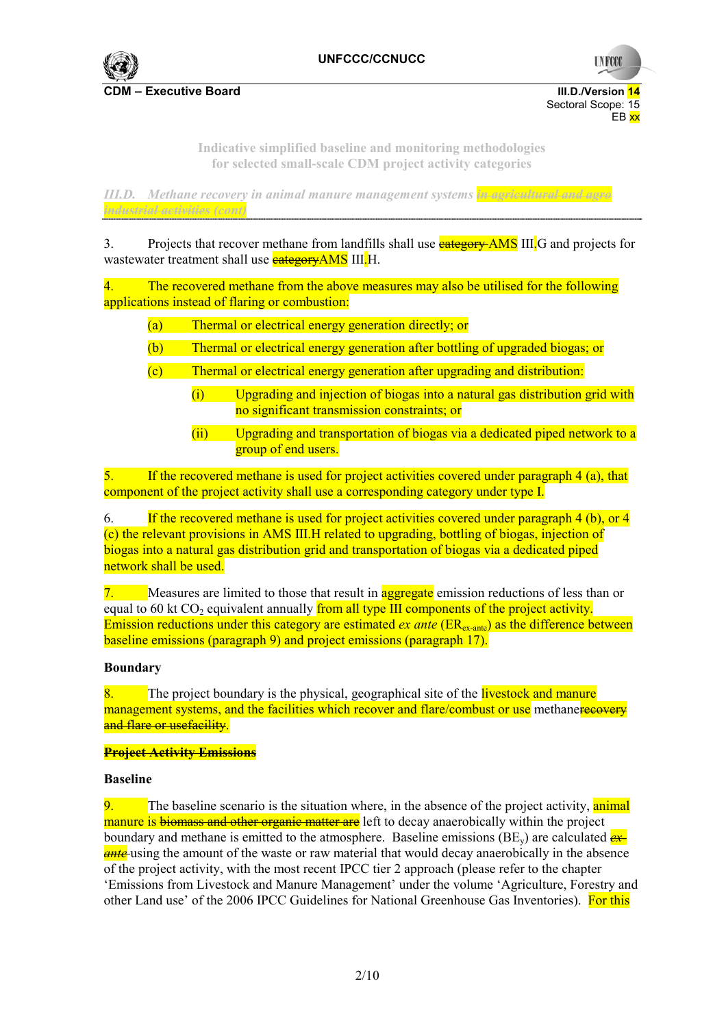

**UNFCC** 

Sectoral Scope: 15<br>EB xx en de la provincia de la provincia de la provincia de la provincia de la provincia de la provincia de la provi

> **Indicative simplified baseline and monitoring methodologies for selected small-scale CDM project activity categories**

*III.D. Methane recovery in animal manure management systems in agricultural and agro industrial activities (cont)* 

3. Projects that recover methane from landfills shall use **eategory AMS** III. G and projects for wastewater treatment shall use **eategoryAMS** III.H.

4. The recovered methane from the above measures may also be utilised for the following applications instead of flaring or combustion:

- (a) Thermal or electrical energy generation directly; or
- (b) Thermal or electrical energy generation after bottling of upgraded biogas; or
- (c) Thermal or electrical energy generation after upgrading and distribution:
	- (i) Upgrading and injection of biogas into a natural gas distribution grid with no significant transmission constraints; or
	- (ii) Upgrading and transportation of biogas via a dedicated piped network to a group of end users.

5. If the recovered methane is used for project activities covered under paragraph 4 (a), that component of the project activity shall use a corresponding category under type I.

6. If the recovered methane is used for project activities covered under paragraph 4 (b), or 4 (c) the relevant provisions in AMS III.H related to upgrading, bottling of biogas, injection of biogas into a natural gas distribution grid and transportation of biogas via a dedicated piped network shall be used.

7. Measures are limited to those that result in **aggregate** emission reductions of less than or equal to 60 kt  $CO<sub>2</sub>$  equivalent annually from all type III components of the project activity. Emission reductions under this category are estimated *ex ante* (ER<sub>ex-ante</sub>) as the difference between baseline emissions (paragraph 9) and project emissions (paragraph 17).

#### **Boundary**

 $8.$  The project boundary is the physical, geographical site of the livestock and manure management systems, and the facilities which recover and flare/combust or use methanere every and flare or usefacility.

#### **Project Activity Emissions**

### **Baseline**

9. The baseline scenario is the situation where, in the absence of the project activity, animal manure is biomass and other organic matter are left to decay anaerobically within the project boundary and methane is emitted to the atmosphere. Baseline emissions (BE<sub>y</sub>) are calculated  $\frac{dx}{ }$ **ante**-using the amount of the waste or raw material that would decay anaerobically in the absence of the project activity, with the most recent IPCC tier 2 approach (please refer to the chapter 'Emissions from Livestock and Manure Management' under the volume 'Agriculture, Forestry and other Land use' of the 2006 IPCC Guidelines for National Greenhouse Gas Inventories). For this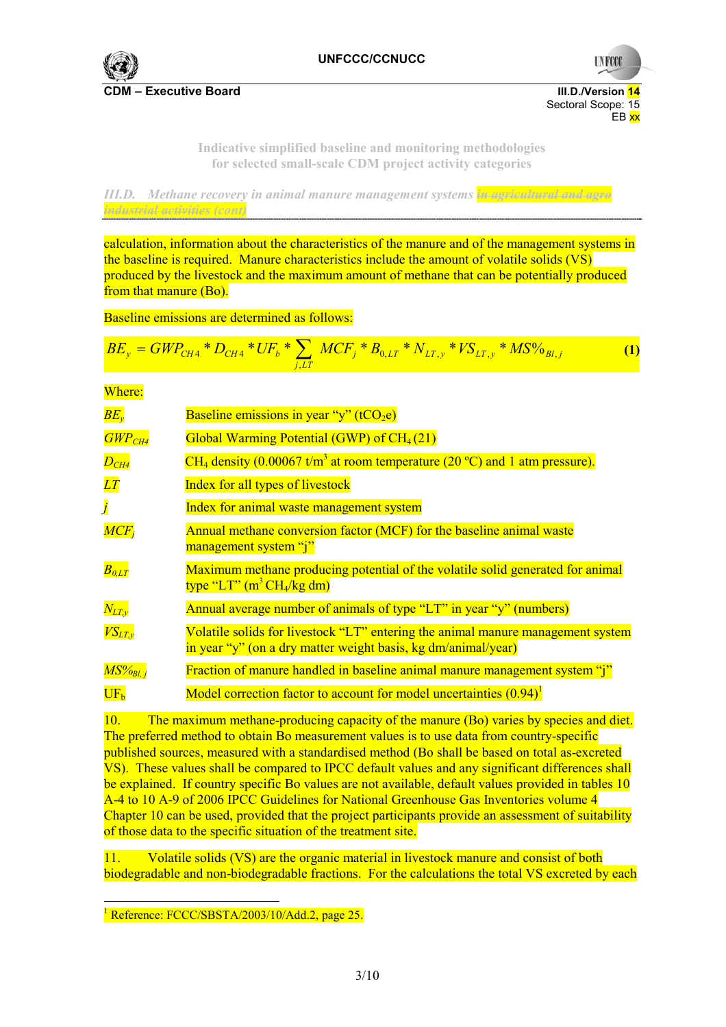

**UNFCC** 

**Indicative simplified baseline and monitoring methodologies for selected small-scale CDM project activity categories** 

en de la provincia de la provincia de la provincia de la provincia de la provincia de la provincia de la provi

*III.D. Methane recovery in animal manure management systems in agricultural and agro industrial activities (cont)* 

calculation, information about the characteristics of the manure and of the management systems in the baseline is required. Manure characteristics include the amount of volatile solids (VS) produced by the livestock and the maximum amount of methane that can be potentially produced from that manure (Bo).

Baseline emissions are determined as follows:

$$
BE_y = GWP_{CH4} * D_{CH4} * UF_b * \sum_{j,LT} MCF_j * B_{0,LT} * N_{LT,y} * VS_{LT,y} * MS\%_{BI,j}
$$
 (1)

Where:

| $BE_v$                        | Baseline emissions in year "y" $(tCO_2e)$                                                                                                        |
|-------------------------------|--------------------------------------------------------------------------------------------------------------------------------------------------|
| $\overline{GWP_{CH4}}$        | Global Warming Potential (GWP) of $CH_4(21)$                                                                                                     |
| $D_{CH4}$                     | CH <sub>4</sub> density (0.00067 t/m <sup>3</sup> at room temperature (20 °C) and 1 atm pressure).                                               |
| LT                            | Index for all types of livestock                                                                                                                 |
| $\mathbf{j}$                  | Index for animal waste management system                                                                                                         |
| $MCF_i$                       | Annual methane conversion factor (MCF) for the baseline animal waste<br>management system "j"                                                    |
| $\overline{B_{0,LT}}$         | Maximum methane producing potential of the volatile solid generated for animal<br>type "LT" $(m^3 CH_4/kg dm)$                                   |
| $N_{LT,\nu}$                  | Annual average number of animals of type "LT" in year "y" (numbers)                                                                              |
| $\overline{VS_{LT,\nu}}$      | Volatile solids for livestock "LT" entering the animal manure management system<br>in year "y" (on a dry matter weight basis, kg dm/animal/year) |
| $\overline{MS^o\!o_{Bl.\,i}}$ | Fraction of manure handled in baseline animal manure management system "j"                                                                       |
| UF <sub>h</sub>               | Model correction factor to account for model uncertainties $(0.94)^1$                                                                            |

10. The maximum methane-producing capacity of the manure (Bo) varies by species and diet. The preferred method to obtain Bo measurement values is to use data from country-specific published sources, measured with a standardised method (Bo shall be based on total as-excreted VS). These values shall be compared to IPCC default values and any significant differences shall be explained. If country specific Bo values are not available, default values provided in tables 10 A-4 to 10 A-9 of 2006 IPCC Guidelines for National Greenhouse Gas Inventories volume 4 Chapter 10 can be used, provided that the project participants provide an assessment of suitability of those data to the specific situation of the treatment site.

11. Volatile solids (VS) are the organic material in livestock manure and consist of both biodegradable and non-biodegradable fractions. For the calculations the total VS excreted by each

 <sup>1</sup> Reference: FCCC/SBSTA/2003/10/Add.2, page 25.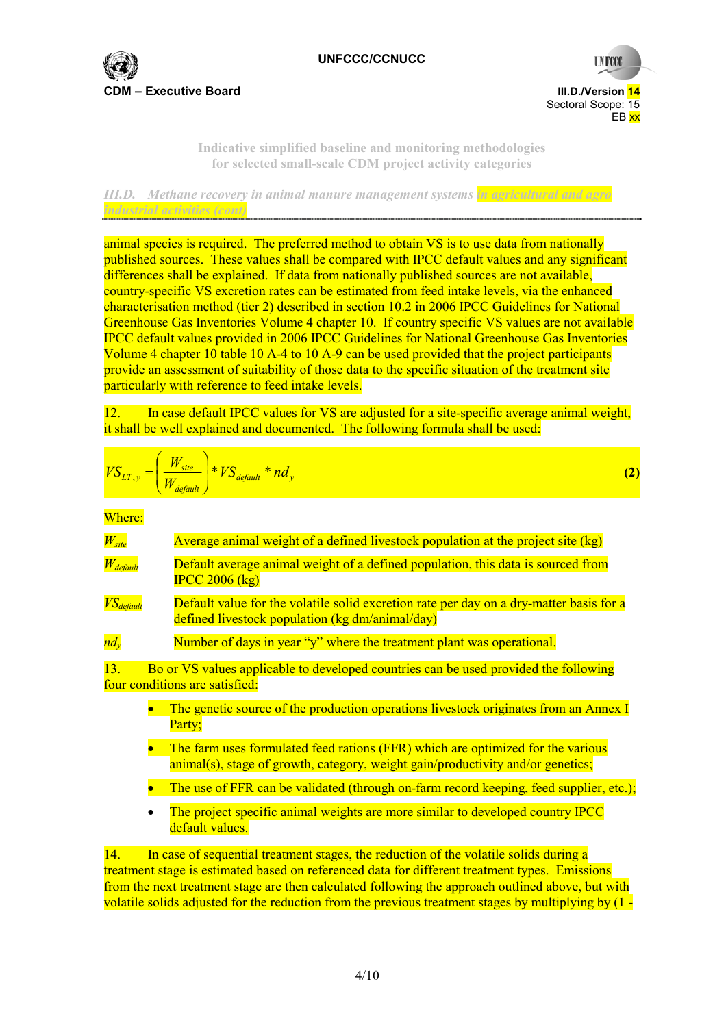

Sectoral Scope: 15<br>EB xx en de la provincia de la provincia de la provincia de la provincia de la provincia de la provincia de la provi

**UNFCC** 

**Indicative simplified baseline and monitoring methodologies for selected small-scale CDM project activity categories** 

*III.D. Methane recovery in animal manure management systems in agricultural and agro industrial activities (cont)* 

animal species is required. The preferred method to obtain VS is to use data from nationally published sources. These values shall be compared with IPCC default values and any significant differences shall be explained. If data from nationally published sources are not available, country-specific VS excretion rates can be estimated from feed intake levels, via the enhanced characterisation method (tier 2) described in section 10.2 in 2006 IPCC Guidelines for National Greenhouse Gas Inventories Volume 4 chapter 10. If country specific VS values are not available IPCC default values provided in 2006 IPCC Guidelines for National Greenhouse Gas Inventories Volume 4 chapter 10 table 10 A-4 to 10 A-9 can be used provided that the project participants provide an assessment of suitability of those data to the specific situation of the treatment site particularly with reference to feed intake levels.

12. In case default IPCC values for VS are adjusted for a site-specific average animal weight, it shall be well explained and documented. The following formula shall be used:

$$
VS_{LT,y} = \left(\frac{W_{site}}{W_{default}}\right) * VS_{default} * nd_y
$$
\n(2)

Where:

| $W_{site}$                | Average animal weight of a defined livestock population at the project site (kg)                                                                                             |
|---------------------------|------------------------------------------------------------------------------------------------------------------------------------------------------------------------------|
| $W_{\text{default}}$      | Default average animal weight of a defined population, this data is sourced from<br>$\text{IPCC } 2006 \text{ (kg)}$                                                         |
| $\overline{VS_{default}}$ | Default value for the volatile solid excretion rate per day on a dry-matter basis for a<br>defined livestock population (kg dm/animal/day)                                   |
| $nd_v$                    | Number of days in year "y" where the treatment plant was operational.                                                                                                        |
| 13.                       | Bo or VS values applicable to developed countries can be used provided the following<br>four conditions are satisfied:                                                       |
|                           | The genetic source of the production operations livestock originates from an Annex I<br>Party;                                                                               |
|                           | The farm uses formulated feed rations (FFR) which are optimized for the various<br>$\text{animal(s)}$ , stage of growth, category, weight gain/productivity and/or genetics; |
|                           | The use of FFR can be validated (through on-farm record keeping, feed supplier, etc.);                                                                                       |
|                           | The project specific animal weights are more similar to developed country IPCC<br>default values.                                                                            |

14. In case of sequential treatment stages, the reduction of the volatile solids during a treatment stage is estimated based on referenced data for different treatment types. Emissions from the next treatment stage are then calculated following the approach outlined above, but with volatile solids adjusted for the reduction from the previous treatment stages by multiplying by (1 -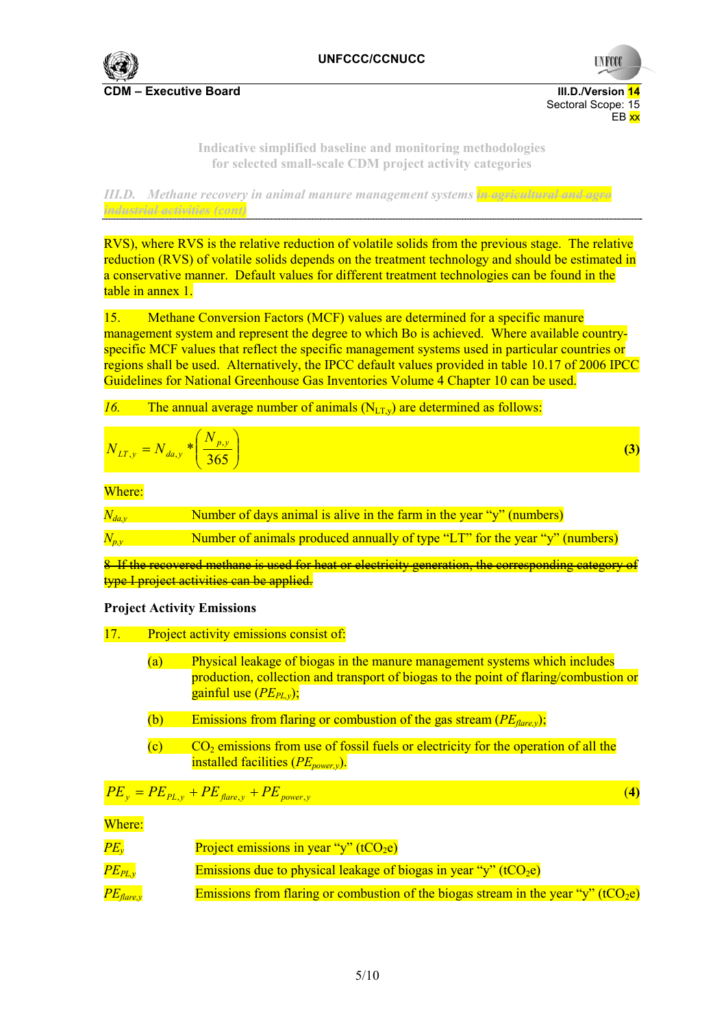

**UNFCCC** 

**Indicative simplified baseline and monitoring methodologies for selected small-scale CDM project activity categories** 

en de la provincia de la provincia de la provincia de la provincia de la provincia de la provincia de la provi

*III.D. Methane recovery in animal manure management systems in agricultural and agro industrial activities (cont)* 

RVS), where RVS is the relative reduction of volatile solids from the previous stage. The relative reduction (RVS) of volatile solids depends on the treatment technology and should be estimated in a conservative manner. Default values for different treatment technologies can be found in the table in annex 1.

15. Methane Conversion Factors (MCF) values are determined for a specific manure management system and represent the degree to which Bo is achieved. Where available countryspecific MCF values that reflect the specific management systems used in particular countries or regions shall be used. Alternatively, the IPCC default values provided in table 10.17 of 2006 IPCC Guidelines for National Greenhouse Gas Inventories Volume 4 Chapter 10 can be used.

*16.* The annual average number of animals  $(N_{LTv})$  are determined as follows:

$$
N_{LT,y} = N_{da,y} * \left(\frac{N_{p,y}}{365}\right)
$$
 (3)

Where:

| $N_{da,y}$  | Number of days animal is alive in the farm in the year "y" (numbers)        |
|-------------|-----------------------------------------------------------------------------|
| $N_{p,\nu}$ | Number of animals produced annually of type "LT" for the year "y" (numbers) |

8 If the recovered methane is used for heat or electricity generation, the corresponding category of type I project activities can be applied.

## **Project Activity Emissions**

- 17. Project activity emissions consist of:
	- (a) Physical leakage of biogas in the manure management systems which includes production, collection and transport of biogas to the point of flaring/combustion or gainful use  $(PE_{PLv})$ ;
	- (b) Emissions from flaring or combustion of the gas stream (*PEflare,y*);
	- $(c)$  CO<sub>2</sub> emissions from use of fossil fuels or electricity for the operation of all the installed facilities (*PE<sub>power,y*).</sub>

$$
PE_y = PE_{PL,y} + PE_{flare,y} + PE_{power,y}
$$
\n(4)

Where:

| $\overline{PE_{v}}$    | Project emissions in year "y" (t $CO2e$ )                                                      |
|------------------------|------------------------------------------------------------------------------------------------|
| $\overline{PE_{PL,v}}$ | Emissions due to physical leakage of biogas in year "y" (tCO <sub>2</sub> e)                   |
| $PE_{\text{flare}, v}$ | Emissions from flaring or combustion of the biogas stream in the year "y" (tCO <sub>2</sub> e) |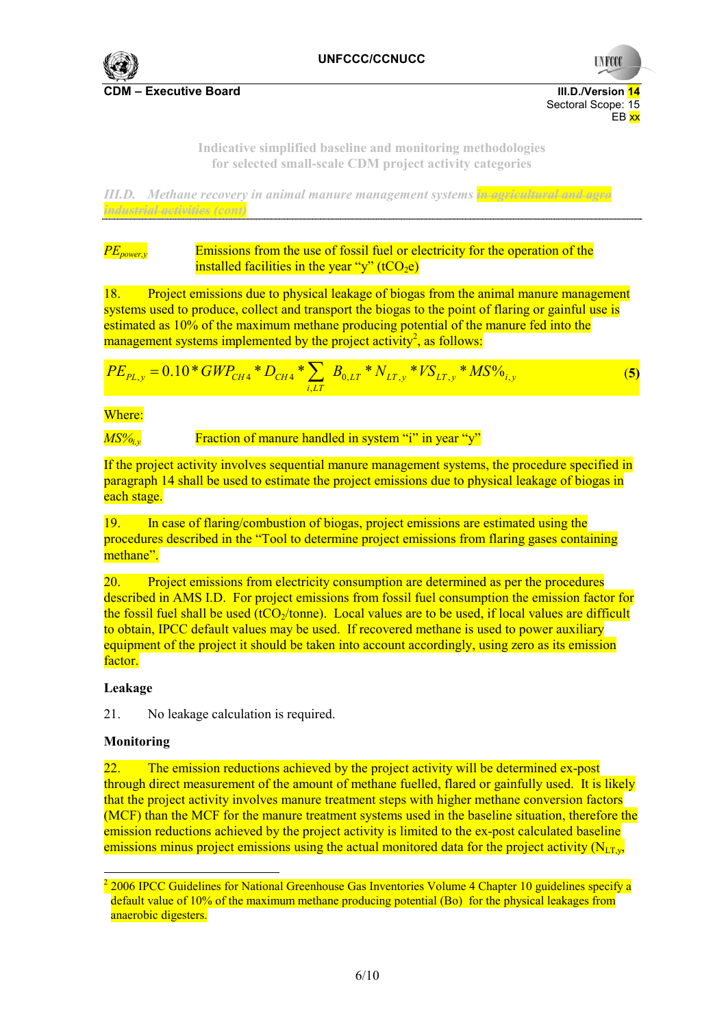

**UNFCC** 

**Indicative simplified baseline and monitoring methodologies for selected small-scale CDM project activity categories** 

en de la provincia de la provincia de la provincia de la provincia de la provincia de la provincia de la provi

*III.D. Methane recovery in animal manure management systems in agricultural and agro industrial activities (cont)* 

*PE<sub>power,y</sub>* Emissions from the use of fossil fuel or electricity for the operation of the installed facilities in the year "y"  $(tCO<sub>2</sub>e)$ 

18. Project emissions due to physical leakage of biogas from the animal manure management systems used to produce, collect and transport the biogas to the point of flaring or gainful use is estimated as 10% of the maximum methane producing potential of the manure fed into the management systems implemented by the project activity<sup>2</sup>, as follows:

$$
PE_{PL,y} = 0.10 * GWP_{CH4} * D_{CH4} * \sum_{i,LT} B_{0,LT} * N_{LT,y} * VS_{LT,y} * MS\%_{i,y}
$$
(5)

Where:

*MS%<sub>i</sub>*, Fraction of manure handled in system "i" in year "y"

If the project activity involves sequential manure management systems, the procedure specified in paragraph 14 shall be used to estimate the project emissions due to physical leakage of biogas in each stage.

19. In case of flaring/combustion of biogas, project emissions are estimated using the procedures described in the "Tool to determine project emissions from flaring gases containing methane".

20. Project emissions from electricity consumption are determined as per the procedures described in AMS I.D. For project emissions from fossil fuel consumption the emission factor for the fossil fuel shall be used (tCO $_2$ /tonne). Local values are to be used, if local values are difficult to obtain, IPCC default values may be used. If recovered methane is used to power auxiliary equipment of the project it should be taken into account accordingly, using zero as its emission factor.

## **Leakage**

21. No leakage calculation is required.

#### **Monitoring**

 $\overline{a}$ 

22. The emission reductions achieved by the project activity will be determined ex-post through direct measurement of the amount of methane fuelled, flared or gainfully used. It is likely that the project activity involves manure treatment steps with higher methane conversion factors (MCF) than the MCF for the manure treatment systems used in the baseline situation, therefore the emission reductions achieved by the project activity is limited to the ex-post calculated baseline emissions minus project emissions using the actual monitored data for the project activity  $(N_{LT,v}$ ,

 $2$  2006 IPCC Guidelines for National Greenhouse Gas Inventories Volume 4 Chapter 10 guidelines specify a default value of 10% of the maximum methane producing potential (Bo) for the physical leakages from anaerobic digesters.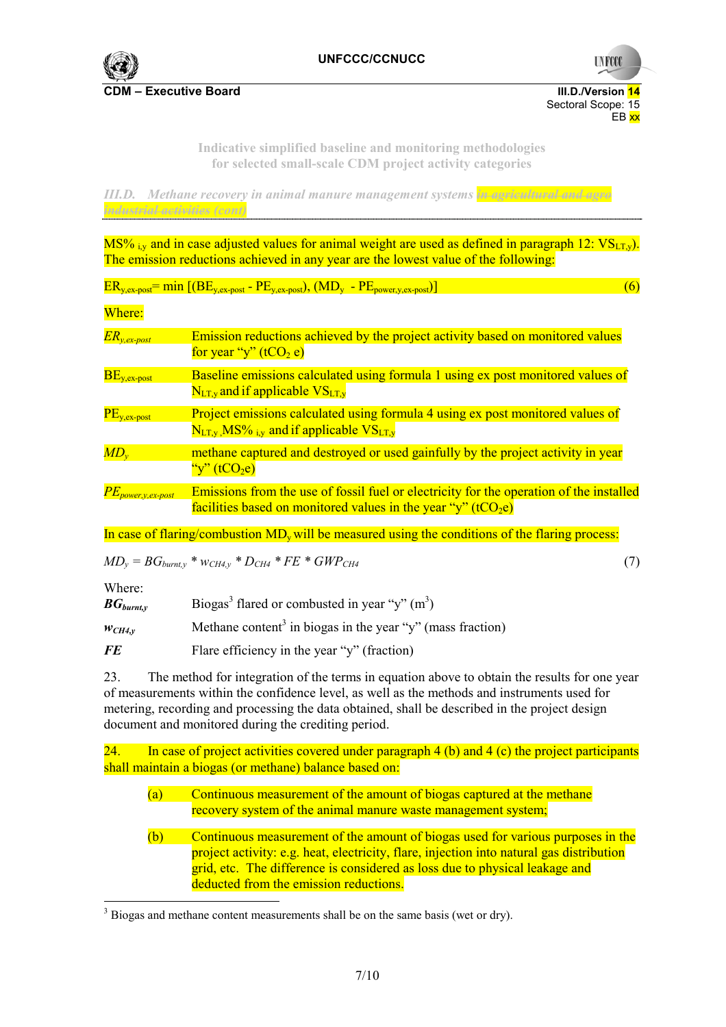

**UNFCO** 

**CDM – Executive Board III.D./Version 14**  Sectoral Scope: 15<br>EB xx en de la provincia de la provincia de la provincia de la provincia de la provincia de la provincia de la provi

> **Indicative simplified baseline and monitoring methodologies for selected small-scale CDM project activity categories**

*III.D. Methane recovery in animal manure management systems in agricultural and agro industrial activities (cont)* 

MS% iv and in case adjusted values for animal weight are used as defined in paragraph 12:  $VS_{LTv}$ ). The emission reductions achieved in any year are the lowest value of the following:

 $ER_{v \text{ ex-nost}} = \min \left[ \left( BE_{v \text{ ex-nost}} - PE_{v \text{ ex-nost}} \right), \left( MD_{v} - PE_{\text{nower}} \right)_{v \text{ ex-nost}} \right) \right]$  (6)

Where:

| $ER_{y,ex-post}$                          | Emission reductions achieved by the project activity based on monitored values<br>for year "y" $(tCO2 e)$                                                            |
|-------------------------------------------|----------------------------------------------------------------------------------------------------------------------------------------------------------------------|
| $BE_{y,ex-post}$                          | Baseline emissions calculated using formula 1 using ex post monitored values of<br>$N_{LT,y}$ and if applicable $VS_{LT,y}$                                          |
| $\overline{\text{PE}}_{\text{y,ex-post}}$ | Project emissions calculated using formula 4 using ex post monitored values of<br>$N_{LT, v}$ MS% $_{i,v}$ and if applicable $VS_{LT, v}$                            |
| $MD_{v}$                                  | methane captured and destroyed or used gainfully by the project activity in year<br>"y" $(tCO2e)$                                                                    |
| $PE_{power,y,ex-post}$                    | Emissions from the use of fossil fuel or electricity for the operation of the installed<br>facilities based on monitored values in the year "y" (tCO <sub>2</sub> e) |

In case of flaring/combustion  $MD<sub>v</sub>$  will be measured using the conditions of the flaring process:

$$
MD_{y} = BG_{burnt,y} * w_{CH4,y} * D_{CH4} * FE * GWP_{CH4}
$$
\n(7)

Where:

 $BG_{burnty}$  Biogas<sup>3</sup> flared or combusted in year "y" (m<sup>3</sup>)

 $w_{CH4,y}$  Methane content<sup>3</sup> in biogas in the year "y" (mass fraction)

*FE* Flare efficiency in the year "y" (fraction)

23. The method for integration of the terms in equation above to obtain the results for one year of measurements within the confidence level, as well as the methods and instruments used for metering, recording and processing the data obtained, shall be described in the project design document and monitored during the crediting period.

24. In case of project activities covered under paragraph 4 (b) and 4 (c) the project participants shall maintain a biogas (or methane) balance based on:

- (a) Continuous measurement of the amount of biogas captured at the methane recovery system of the animal manure waste management system;
- (b) Continuous measurement of the amount of biogas used for various purposes in the project activity: e.g. heat, electricity, flare, injection into natural gas distribution grid, etc. The difference is considered as loss due to physical leakage and deducted from the emission reductions.

 $3$  Biogas and methane content measurements shall be on the same basis (wet or dry).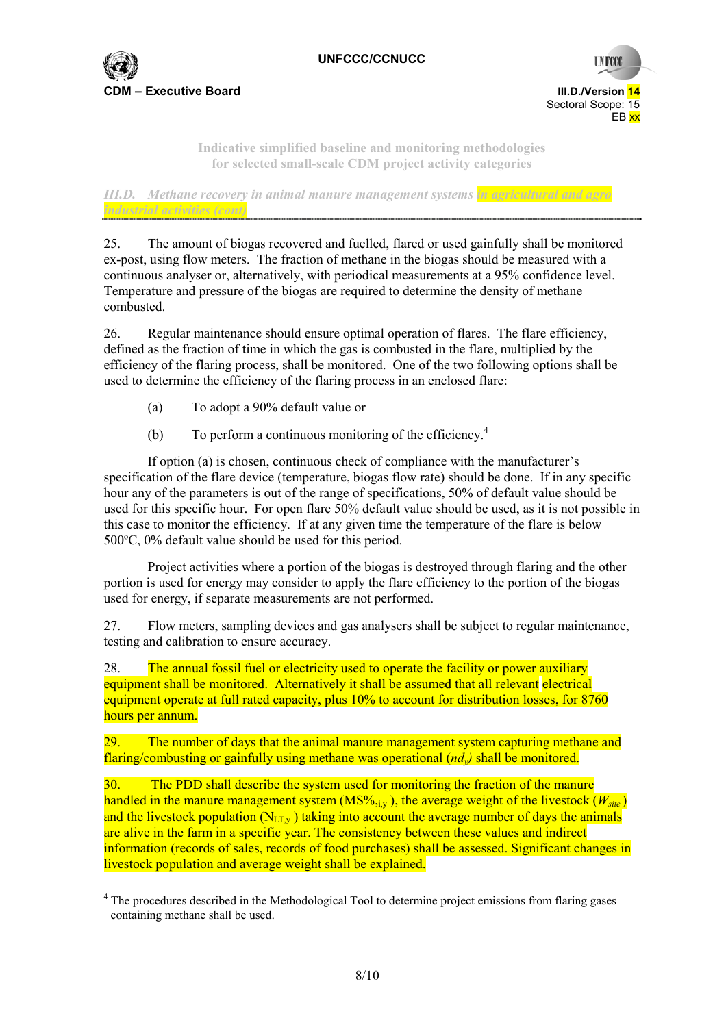

Sectoral Scope: 15<br>EB xx en de la provincia de la provincia de la provincia de la provincia de la provincia de la provincia de la provi

**UNFCO** 

**Indicative simplified baseline and monitoring methodologies for selected small-scale CDM project activity categories** 

*III.D. Methane recovery in animal manure management systems in agricultural and agro industrial activities (cont)* 

25. The amount of biogas recovered and fuelled, flared or used gainfully shall be monitored ex-post, using flow meters. The fraction of methane in the biogas should be measured with a continuous analyser or, alternatively, with periodical measurements at a 95% confidence level. Temperature and pressure of the biogas are required to determine the density of methane combusted.

26. Regular maintenance should ensure optimal operation of flares. The flare efficiency, defined as the fraction of time in which the gas is combusted in the flare, multiplied by the efficiency of the flaring process, shall be monitored. One of the two following options shall be used to determine the efficiency of the flaring process in an enclosed flare:

- (a) To adopt a 90% default value or
- (b) To perform a continuous monitoring of the efficiency.<sup>4</sup>

If option (a) is chosen, continuous check of compliance with the manufacturer's specification of the flare device (temperature, biogas flow rate) should be done. If in any specific hour any of the parameters is out of the range of specifications, 50% of default value should be used for this specific hour. For open flare 50% default value should be used, as it is not possible in this case to monitor the efficiency. If at any given time the temperature of the flare is below 500ºC, 0% default value should be used for this period.

Project activities where a portion of the biogas is destroyed through flaring and the other portion is used for energy may consider to apply the flare efficiency to the portion of the biogas used for energy, if separate measurements are not performed.

27. Flow meters, sampling devices and gas analysers shall be subject to regular maintenance, testing and calibration to ensure accuracy.

28. The annual fossil fuel or electricity used to operate the facility or power auxiliary equipment shall be monitored. Alternatively it shall be assumed that all relevant electrical equipment operate at full rated capacity, plus 10% to account for distribution losses, for 8760 hours per annum.

29. The number of days that the animal manure management system capturing methane and flaring/combusting or gainfully using methane was operational (*ndy)* shall be monitored.

30. The PDD shall describe the system used for monitoring the fraction of the manure handled in the manure management system (MS%, $_{i,y}$ ), the average weight of the livestock ( $W_{site}$ ) and the livestock population  $(N_{LTv})$  taking into account the average number of days the animals are alive in the farm in a specific year. The consistency between these values and indirect information (records of sales, records of food purchases) shall be assessed. Significant changes in livestock population and average weight shall be explained.

 <sup>4</sup> The procedures described in the Methodological Tool to determine project emissions from flaring gases containing methane shall be used.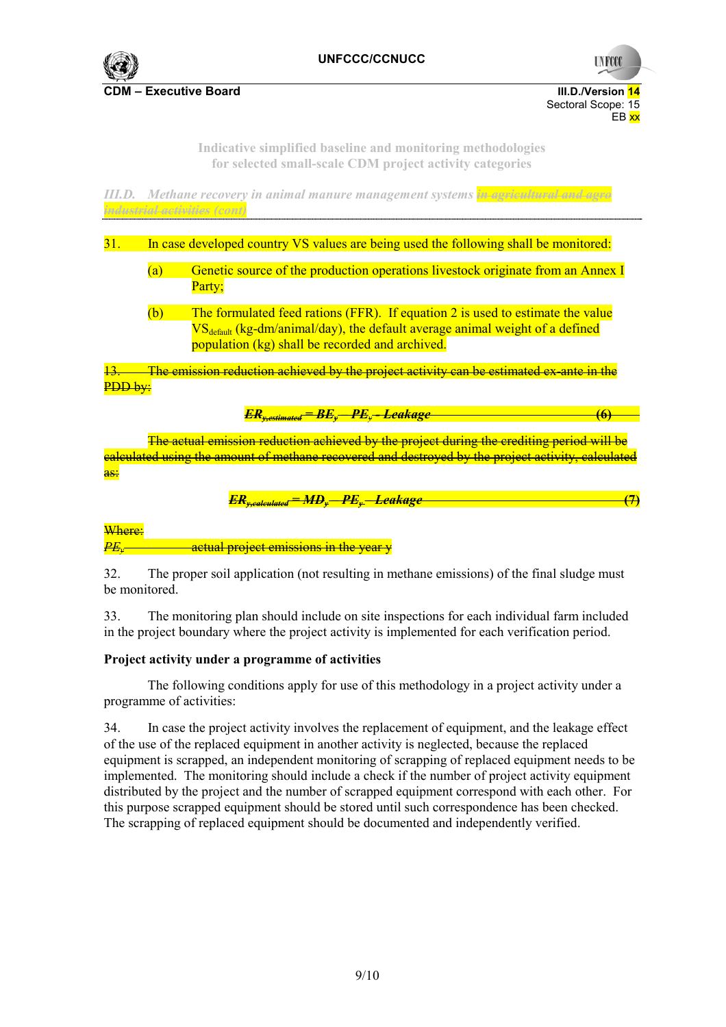

**UNFCC** 

**CDM – Executive Board III.D./Version 14** 

Sectoral Scope: 15<br>EB xx en de la provincia de la provincia de la provincia de la provincia de la provincia de la provincia de la provi

> **Indicative simplified baseline and monitoring methodologies for selected small-scale CDM project activity categories**

*III.D. Methane recovery in animal manure management systems in agricultural and agro industrial activities (cont)* 

31. In case developed country VS values are being used the following shall be monitored:

- (a) Genetic source of the production operations livestock originate from an Annex I Party;
- (b) The formulated feed rations (FFR). If equation 2 is used to estimate the value  $VS_{\text{default}}$  (kg-dm/animal/day), the default average animal weight of a defined population (kg) shall be recorded and archived.

The emission reduction achieved by the project activity can be estimated ex-ante in the PDD by:

$$
ER_{y,estimated} = BE_y - PE_y - Leakage
$$
 (6)

The actual emission reduction achieved by the project during the crediting period will be calculated using the amount of methane recovered and destroyed by the project activity, calculated as:

$$
ER_{y, calculated} = MD_y - PE_y - Leakage
$$
 (7)

Where:

*PE<sub>y</sub>* actual project emissions in the year  $\psi$ 

32. The proper soil application (not resulting in methane emissions) of the final sludge must be monitored.

33. The monitoring plan should include on site inspections for each individual farm included in the project boundary where the project activity is implemented for each verification period.

#### **Project activity under a programme of activities**

 The following conditions apply for use of this methodology in a project activity under a programme of activities:

34. In case the project activity involves the replacement of equipment, and the leakage effect of the use of the replaced equipment in another activity is neglected, because the replaced equipment is scrapped, an independent monitoring of scrapping of replaced equipment needs to be implemented. The monitoring should include a check if the number of project activity equipment distributed by the project and the number of scrapped equipment correspond with each other. For this purpose scrapped equipment should be stored until such correspondence has been checked. The scrapping of replaced equipment should be documented and independently verified.